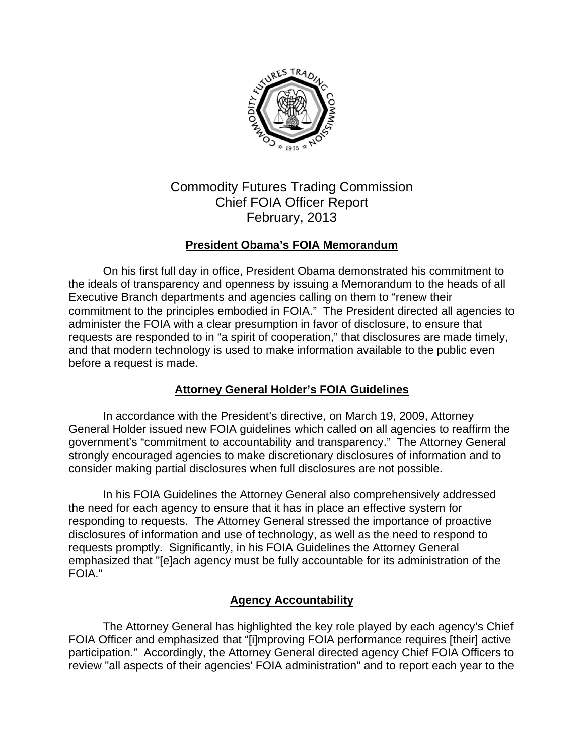

# Commodity Futures Trading Commission Chief FOIA Officer Report February, 2013

# **President Obama's FOIA Memorandum**

On his first full day in office, President Obama demonstrated his commitment to the ideals of transparency and openness by issuing a Memorandum to the heads of all Executive Branch departments and agencies calling on them to "renew their commitment to the principles embodied in FOIA." The President directed all agencies to administer the FOIA with a clear presumption in favor of disclosure, to ensure that requests are responded to in "a spirit of cooperation," that disclosures are made timely, and that modern technology is used to make information available to the public even before a request is made.

# **Attorney General Holder's FOIA Guidelines**

In accordance with the President's directive, on March 19, 2009, Attorney General Holder issued new FOIA guidelines which called on all agencies to reaffirm the government's "commitment to accountability and transparency." The Attorney General strongly encouraged agencies to make discretionary disclosures of information and to consider making partial disclosures when full disclosures are not possible.

In his FOIA Guidelines the Attorney General also comprehensively addressed the need for each agency to ensure that it has in place an effective system for responding to requests. The Attorney General stressed the importance of proactive disclosures of information and use of technology, as well as the need to respond to requests promptly. Significantly, in his FOIA Guidelines the Attorney General emphasized that "[e]ach agency must be fully accountable for its administration of the FOIA."

#### **Agency Accountability**

The Attorney General has highlighted the key role played by each agency's Chief FOIA Officer and emphasized that "[i]mproving FOIA performance requires [their] active participation." Accordingly, the Attorney General directed agency Chief FOIA Officers to review "all aspects of their agencies' FOIA administration" and to report each year to the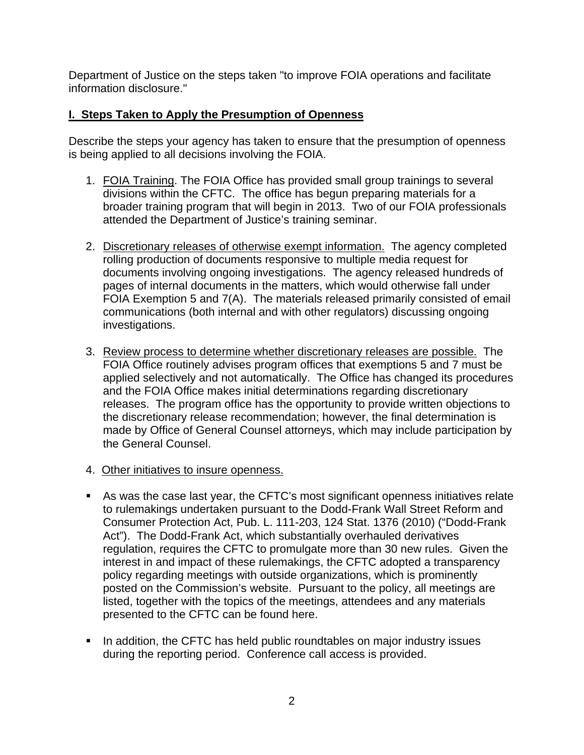Department of Justice on the steps taken "to improve FOIA operations and facilitate information disclosure."

## **I. Steps Taken to Apply the Presumption of Openness**

Describe the steps your agency has taken to ensure that the presumption of openness is being applied to all decisions involving the FOIA.

- 1. FOIA Training. The FOIA Office has provided small group trainings to several divisions within the CFTC. The office has begun preparing materials for a broader training program that will begin in 2013. Two of our FOIA professionals attended the Department of Justice's training seminar.
- 2. Discretionary releases of otherwise exempt information. The agency completed rolling production of documents responsive to multiple media request for documents involving ongoing investigations. The agency released hundreds of pages of internal documents in the matters, which would otherwise fall under FOIA Exemption 5 and 7(A). The materials released primarily consisted of email communications (both internal and with other regulators) discussing ongoing investigations.
- 3. Review process to determine whether discretionary releases are possible. The FOIA Office routinely advises program offices that exemptions 5 and 7 must be applied selectively and not automatically. The Office has changed its procedures and the FOIA Office makes initial determinations regarding discretionary releases. The program office has the opportunity to provide written objections to the discretionary release recommendation; however, the final determination is made by Office of General Counsel attorneys, which may include participation by the General Counsel.
- 4. Other initiatives to insure openness.
- As was the case last year, the CFTC's most significant openness initiatives relate to rulemakings undertaken pursuant to the Dodd-Frank Wall Street Reform and Consumer Protection Act, Pub. L. 111-203, 124 Stat. 1376 (2010) ("Dodd-Frank Act"). The Dodd-Frank Act, which substantially overhauled derivatives regulation, requires the CFTC to promulgate more than 30 new rules. Given the interest in and impact of these rulemakings, the CFTC adopted a transparency policy regarding meetings with outside organizations, which is prominently posted on the Commission's website. Pursuant to the policy, all meetings are listed, together with the topics of the meetings, attendees and any materials presented to the CFTC can be found here.
- In addition, the CFTC has held public roundtables on major industry issues during the reporting period. Conference call access is provided.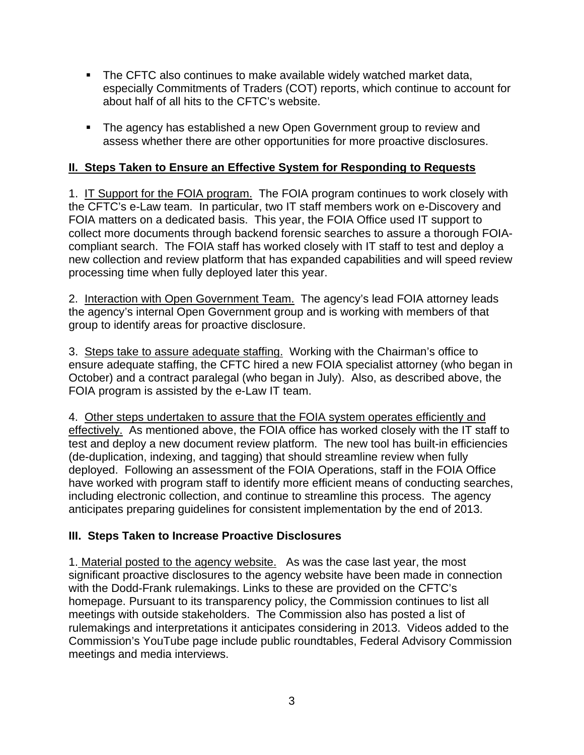- The CFTC also continues to make available widely watched market data, especially Commitments of Traders (COT) reports, which continue to account for about half of all hits to the CFTC's website.
- The agency has established a new Open Government group to review and assess whether there are other opportunities for more proactive disclosures.

# **II. Steps Taken to Ensure an Effective System for Responding to Requests**

1. IT Support for the FOIA program. The FOIA program continues to work closely with the CFTC's e-Law team. In particular, two IT staff members work on e-Discovery and FOIA matters on a dedicated basis. This year, the FOIA Office used IT support to collect more documents through backend forensic searches to assure a thorough FOIAcompliant search. The FOIA staff has worked closely with IT staff to test and deploy a new collection and review platform that has expanded capabilities and will speed review processing time when fully deployed later this year.

2. Interaction with Open Government Team. The agency's lead FOIA attorney leads the agency's internal Open Government group and is working with members of that group to identify areas for proactive disclosure.

3. Steps take to assure adequate staffing. Working with the Chairman's office to ensure adequate staffing, the CFTC hired a new FOIA specialist attorney (who began in October) and a contract paralegal (who began in July). Also, as described above, the FOIA program is assisted by the e-Law IT team.

4. Other steps undertaken to assure that the FOIA system operates efficiently and effectively. As mentioned above, the FOIA office has worked closely with the IT staff to test and deploy a new document review platform. The new tool has built-in efficiencies (de-duplication, indexing, and tagging) that should streamline review when fully deployed. Following an assessment of the FOIA Operations, staff in the FOIA Office have worked with program staff to identify more efficient means of conducting searches, including electronic collection, and continue to streamline this process. The agency anticipates preparing guidelines for consistent implementation by the end of 2013.

#### **III. Steps Taken to Increase Proactive Disclosures**

1. Material posted to the agency website. As was the case last year, the most significant proactive disclosures to the agency website have been made in connection with the Dodd-Frank rulemakings. Links to these are provided on the CFTC's homepage. Pursuant to its transparency policy, the Commission continues to list all meetings with outside stakeholders. The Commission also has posted a list of rulemakings and interpretations it anticipates considering in 2013. Videos added to the Commission's YouTube page include public roundtables, Federal Advisory Commission meetings and media interviews.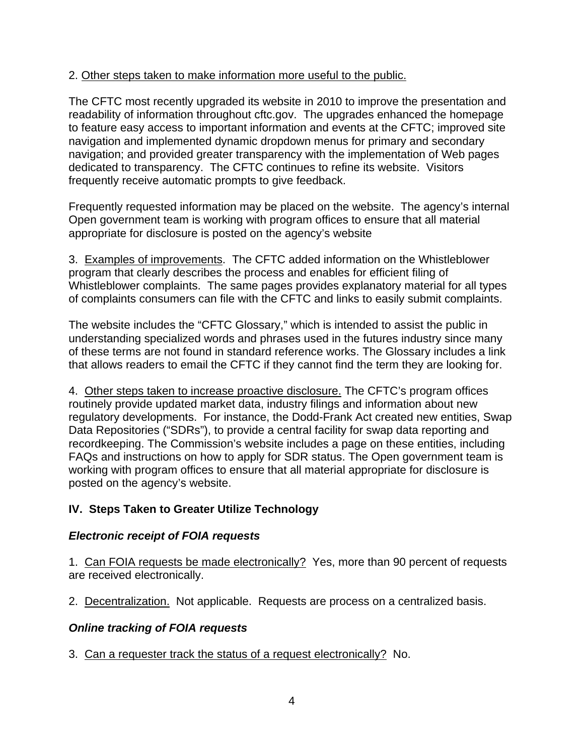#### 2. Other steps taken to make information more useful to the public.

The CFTC most recently upgraded its website in 2010 to improve the presentation and readability of information throughout cftc.gov. The upgrades enhanced the homepage to feature easy access to important information and events at the CFTC; improved site navigation and implemented dynamic dropdown menus for primary and secondary navigation; and provided greater transparency with the implementation of Web pages dedicated to transparency. The CFTC continues to refine its website. Visitors frequently receive automatic prompts to give feedback.

Frequently requested information may be placed on the website. The agency's internal Open government team is working with program offices to ensure that all material appropriate for disclosure is posted on the agency's website

3. Examples of improvements. The CFTC added information on the Whistleblower program that clearly describes the process and enables for efficient filing of Whistleblower complaints. The same pages provides explanatory material for all types of complaints consumers can file with the CFTC and links to easily submit complaints.

The website includes the "CFTC Glossary," which is intended to assist the public in understanding specialized words and phrases used in the futures industry since many of these terms are not found in standard reference works. The Glossary includes a link that allows readers to email the CFTC if they cannot find the term they are looking for.

4. Other steps taken to increase proactive disclosure. The CFTC's program offices routinely provide updated market data, industry filings and information about new regulatory developments. For instance, the Dodd-Frank Act created new entities, Swap Data Repositories ("SDRs"), to provide a central facility for swap data reporting and recordkeeping. The Commission's website includes a page on these entities, including FAQs and instructions on how to apply for SDR status. The Open government team is working with program offices to ensure that all material appropriate for disclosure is posted on the agency's website.

#### **IV. Steps Taken to Greater Utilize Technology**

#### *Electronic receipt of FOIA requests*

1. Can FOIA requests be made electronically? Yes, more than 90 percent of requests are received electronically.

2. Decentralization. Not applicable. Requests are process on a centralized basis.

#### *Online tracking of FOIA requests*

3. Can a requester track the status of a request electronically? No.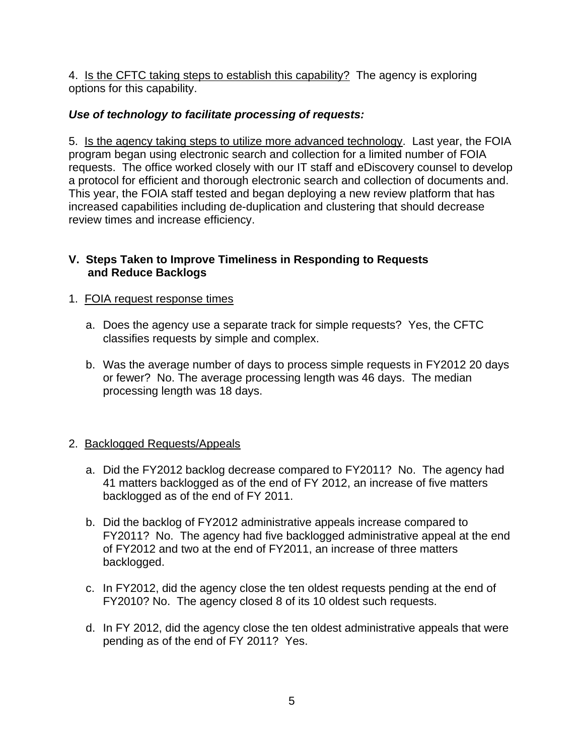4. Is the CFTC taking steps to establish this capability? The agency is exploring options for this capability.

## *Use of technology to facilitate processing of requests:*

5. Is the agency taking steps to utilize more advanced technology. Last year, the FOIA program began using electronic search and collection for a limited number of FOIA requests. The office worked closely with our IT staff and eDiscovery counsel to develop a protocol for efficient and thorough electronic search and collection of documents and. This year, the FOIA staff tested and began deploying a new review platform that has increased capabilities including de-duplication and clustering that should decrease review times and increase efficiency.

#### **V. Steps Taken to Improve Timeliness in Responding to Requests and Reduce Backlogs**

#### 1. FOIA request response times

- a. Does the agency use a separate track for simple requests? Yes, the CFTC classifies requests by simple and complex.
- b. Was the average number of days to process simple requests in FY2012 20 days or fewer? No. The average processing length was 46 days. The median processing length was 18 days.

#### 2. Backlogged Requests/Appeals

- a. Did the FY2012 backlog decrease compared to FY2011? No. The agency had 41 matters backlogged as of the end of FY 2012, an increase of five matters backlogged as of the end of FY 2011.
- b. Did the backlog of FY2012 administrative appeals increase compared to FY2011? No. The agency had five backlogged administrative appeal at the end of FY2012 and two at the end of FY2011, an increase of three matters backlogged.
- c. In FY2012, did the agency close the ten oldest requests pending at the end of FY2010? No. The agency closed 8 of its 10 oldest such requests.
- d. In FY 2012, did the agency close the ten oldest administrative appeals that were pending as of the end of FY 2011? Yes.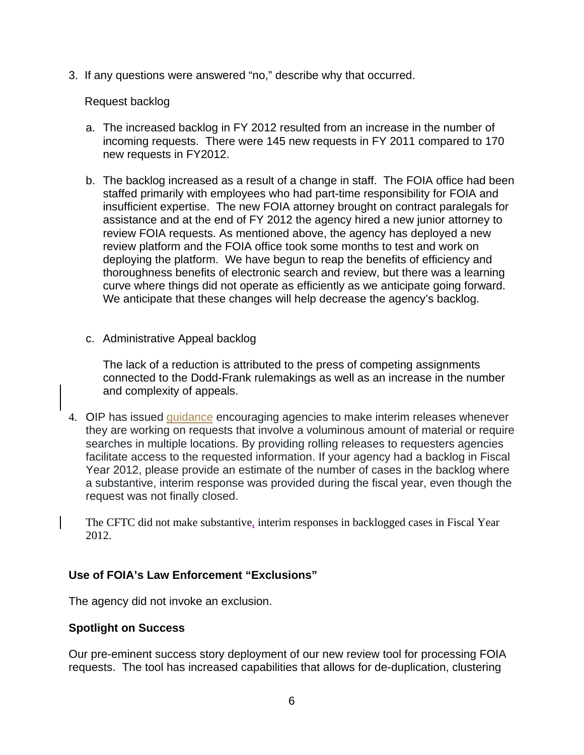3. If any questions were answered "no," describe why that occurred.

#### Request backlog

- a. The increased backlog in FY 2012 resulted from an increase in the number of incoming requests. There were 145 new requests in FY 2011 compared to 170 new requests in FY2012.
- b. The backlog increased as a result of a change in staff. The FOIA office had been staffed primarily with employees who had part-time responsibility for FOIA and insufficient expertise. The new FOIA attorney brought on contract paralegals for assistance and at the end of FY 2012 the agency hired a new junior attorney to review FOIA requests. As mentioned above, the agency has deployed a new review platform and the FOIA office took some months to test and work on deploying the platform. We have begun to reap the benefits of efficiency and thoroughness benefits of electronic search and review, but there was a learning curve where things did not operate as efficiently as we anticipate going forward. We anticipate that these changes will help decrease the agency's backlog.
- c. Administrative Appeal backlog

The lack of a reduction is attributed to the press of competing assignments connected to the Dodd-Frank rulemakings as well as an increase in the number and complexity of appeals.

4. OIP has issued guidance encouraging agencies to make interim releases whenever they are working on requests that involve a voluminous amount of material or require searches in multiple locations. By providing rolling releases to requesters agencies facilitate access to the requested information. If your agency had a backlog in Fiscal Year 2012, please provide an estimate of the number of cases in the backlog where a substantive, interim response was provided during the fiscal year, even though the request was not finally closed.

The CFTC did not make substantive, interim responses in backlogged cases in Fiscal Year 2012.

#### **Use of FOIA's Law Enforcement "Exclusions"**

The agency did not invoke an exclusion.

#### **Spotlight on Success**

Our pre-eminent success story deployment of our new review tool for processing FOIA requests. The tool has increased capabilities that allows for de-duplication, clustering